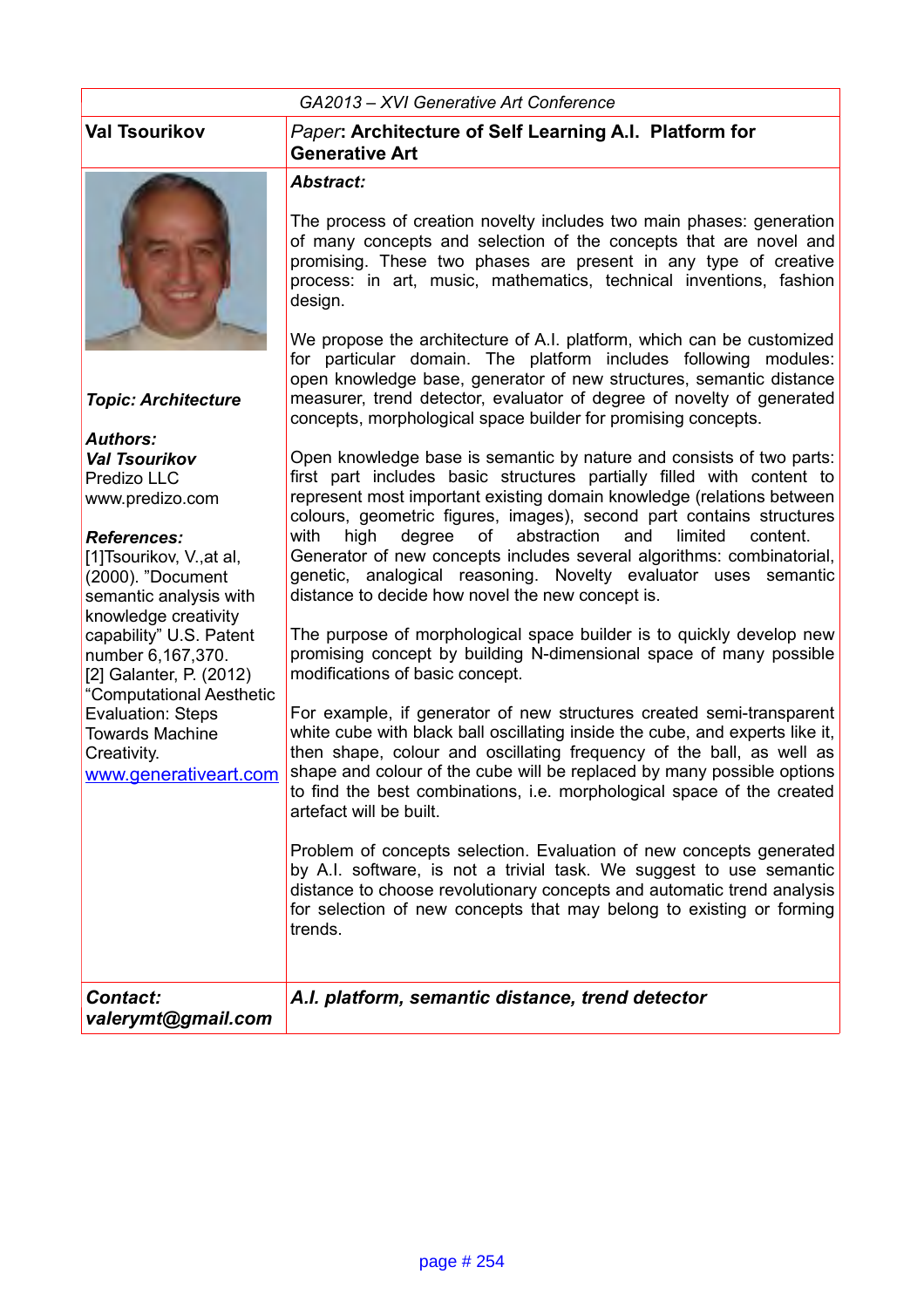#### *GA2013 – XVI Generative Art Conference*



*Topic: Architecture*

*Authors: Val Tsourikov* Predizo LLC www.predizo.com

#### *References:*

[1]Tsourikov, V., at al, (2000). "Document semantic analysis with knowledge creativity capability" U.S. Patent number 6,167,370. [2] Galanter, P. (2012) "Computational Aesthetic Evaluation: Steps Towards Machine Creativity. www.generativeart.com

#### **Val Tsourikov** *Paper***: Architecture of Self Learning A.I. Platform for Generative Art**

#### *Abstract:*

The process of creation novelty includes two main phases: generation of many concepts and selection of the concepts that are novel and promising. These two phases are present in any type of creative process: in art, music, mathematics, technical inventions, fashion design.

We propose the architecture of A.I. platform, which can be customized for particular domain. The platform includes following modules: open knowledge base, generator of new structures, semantic distance measurer, trend detector, evaluator of degree of novelty of generated concepts, morphological space builder for promising concepts.

Open knowledge base is semantic by nature and consists of two parts: first part includes basic structures partially filled with content to represent most important existing domain knowledge (relations between colours, geometric figures, images), second part contains structures with high degree of abstraction and limited content. Generator of new concepts includes several algorithms: combinatorial, genetic, analogical reasoning. Novelty evaluator uses semantic distance to decide how novel the new concept is.

The purpose of morphological space builder is to quickly develop new promising concept by building N-dimensional space of many possible modifications of basic concept.

For example, if generator of new structures created semi-transparent white cube with black ball oscillating inside the cube, and experts like it, then shape, colour and oscillating frequency of the ball, as well as shape and colour of the cube will be replaced by many possible options to find the best combinations, i.e. morphological space of the created artefact will be built.

Problem of concepts selection. Evaluation of new concepts generated by A.I. software, is not a trivial task. We suggest to use semantic distance to choose revolutionary concepts and automatic trend analysis for selection of new concepts that may belong to existing or forming trends.

| <b>Contact:</b>    | A.I. platform, semantic distance, trend detector |
|--------------------|--------------------------------------------------|
| valerymt@gmail.com |                                                  |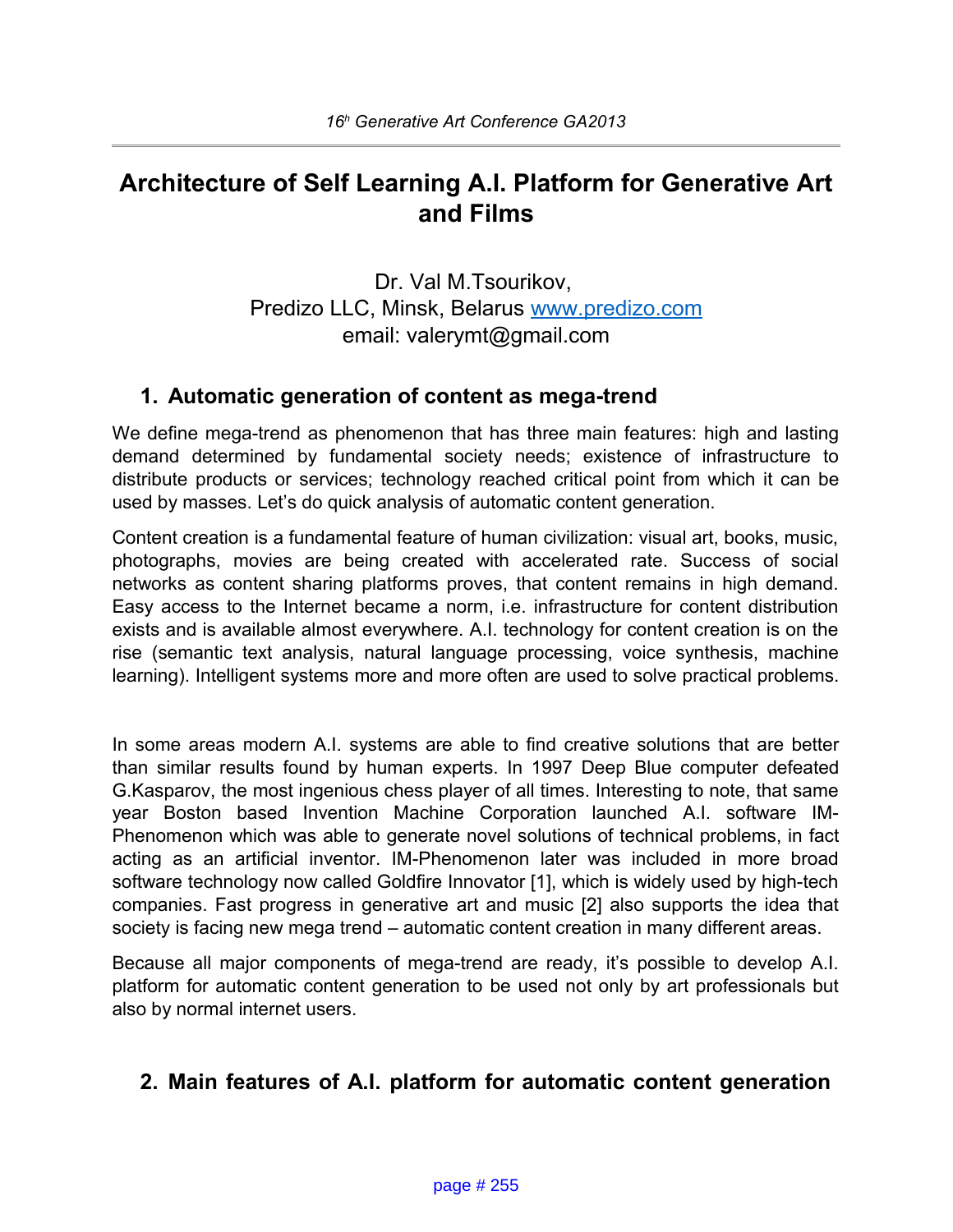# **Architecture of Self Learning A.I. Platform for Generative Art and Films**

Dr. Val M.Tsourikov, Predizo LLC, Minsk, Belarus [www.predizo.com](http://www.predizo.com/) email: valerymt@gmail.com

## **1. Automatic generation of content as mega-trend**

We define mega-trend as phenomenon that has three main features: high and lasting demand determined by fundamental society needs; existence of infrastructure to distribute products or services; technology reached critical point from which it can be used by masses. Let's do quick analysis of automatic content generation.

Content creation is a fundamental feature of human civilization: visual art, books, music, photographs, movies are being created with accelerated rate. Success of social networks as content sharing platforms proves, that content remains in high demand. Easy access to the Internet became a norm, i.e. infrastructure for content distribution exists and is available almost everywhere. A.I. technology for content creation is on the rise (semantic text analysis, natural language processing, voice synthesis, machine learning). Intelligent systems more and more often are used to solve practical problems.

In some areas modern A.I. systems are able to find creative solutions that are better than similar results found by human experts. In 1997 Deep Blue computer defeated G.Kasparov, the most ingenious chess player of all times. Interesting to note, that same year Boston based Invention Machine Corporation launched A.I. software IM-Phenomenon which was able to generate novel solutions of technical problems, in fact acting as an artificial inventor. IM-Phenomenon later was included in more broad software technology now called Goldfire Innovator [1], which is widely used by high-tech companies. Fast progress in generative art and music [2] also supports the idea that society is facing new mega trend – automatic content creation in many different areas.

Because all major components of mega-trend are ready, it's possible to develop A.I. platform for automatic content generation to be used not only by art professionals but also by normal internet users.

## **2. Main features of A.I. platform for automatic content generation**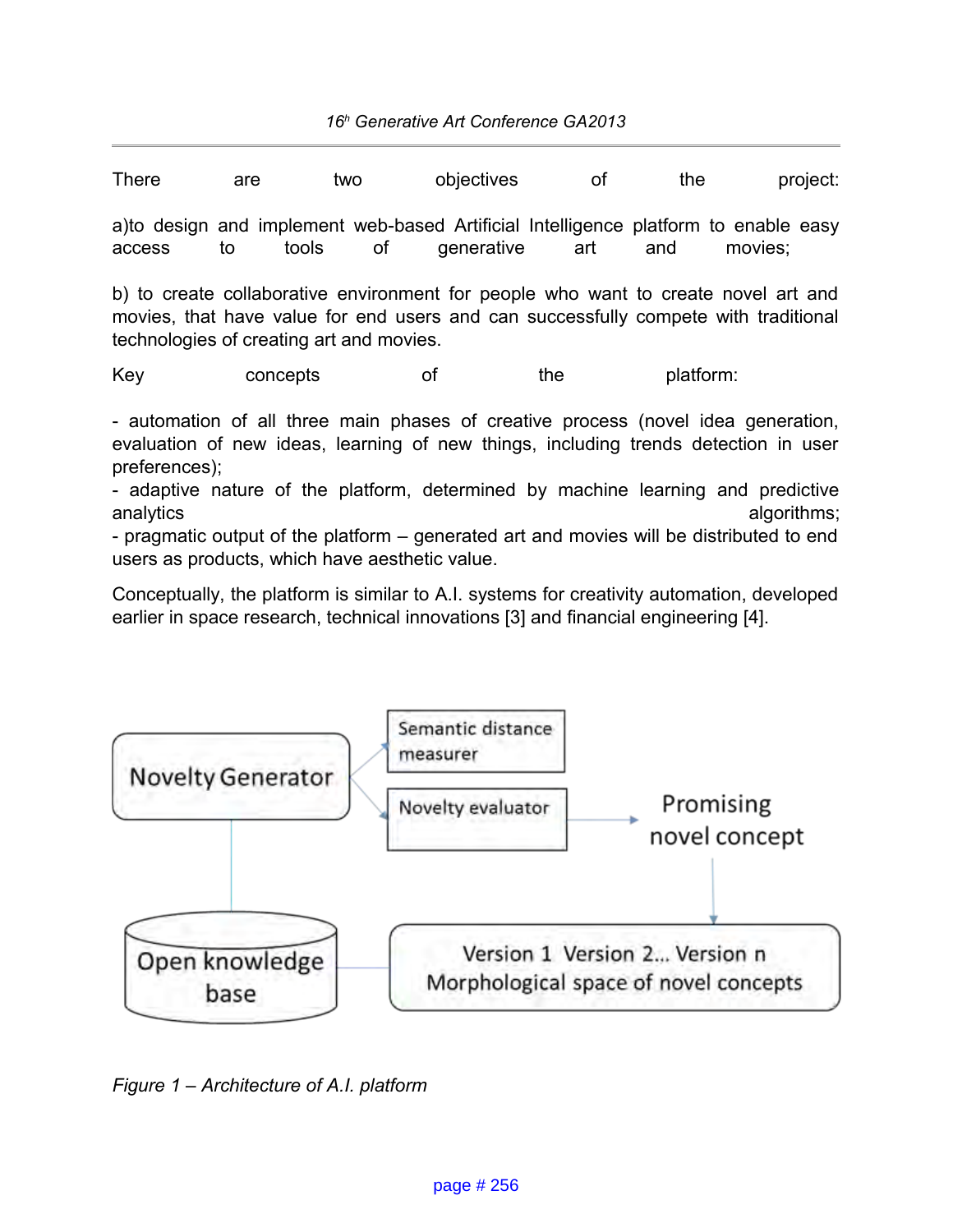| <b>There</b>                                                                                   | are | two   |                                                                                                                   | objectives | οf  | the |         | project: |
|------------------------------------------------------------------------------------------------|-----|-------|-------------------------------------------------------------------------------------------------------------------|------------|-----|-----|---------|----------|
| a) to design and implement web-based Artificial Intelligence platform to enable easy<br>access | to  | tools | of the contract of the contract of the contract of the contract of the contract of the contract of the contract o | generative | art | and | movies: |          |
| $\cdots$                                                                                       |     |       |                                                                                                                   |            |     |     |         |          |

b) to create collaborative environment for people who want to create novel art and movies, that have value for end users and can successfully compete with traditional technologies of creating art and movies.

Key concepts of the platform:

- automation of all three main phases of creative process (novel idea generation, evaluation of new ideas, learning of new things, including trends detection in user preferences);

- adaptive nature of the platform, determined by machine learning and predictive analytics analytics analytics algorithms;

- pragmatic output of the platform – generated art and movies will be distributed to end users as products, which have aesthetic value.

Conceptually, the platform is similar to A.I. systems for creativity automation, developed earlier in space research, technical innovations [3] and financial engineering [4].



*Figure 1 – Architecture of A.I. platform*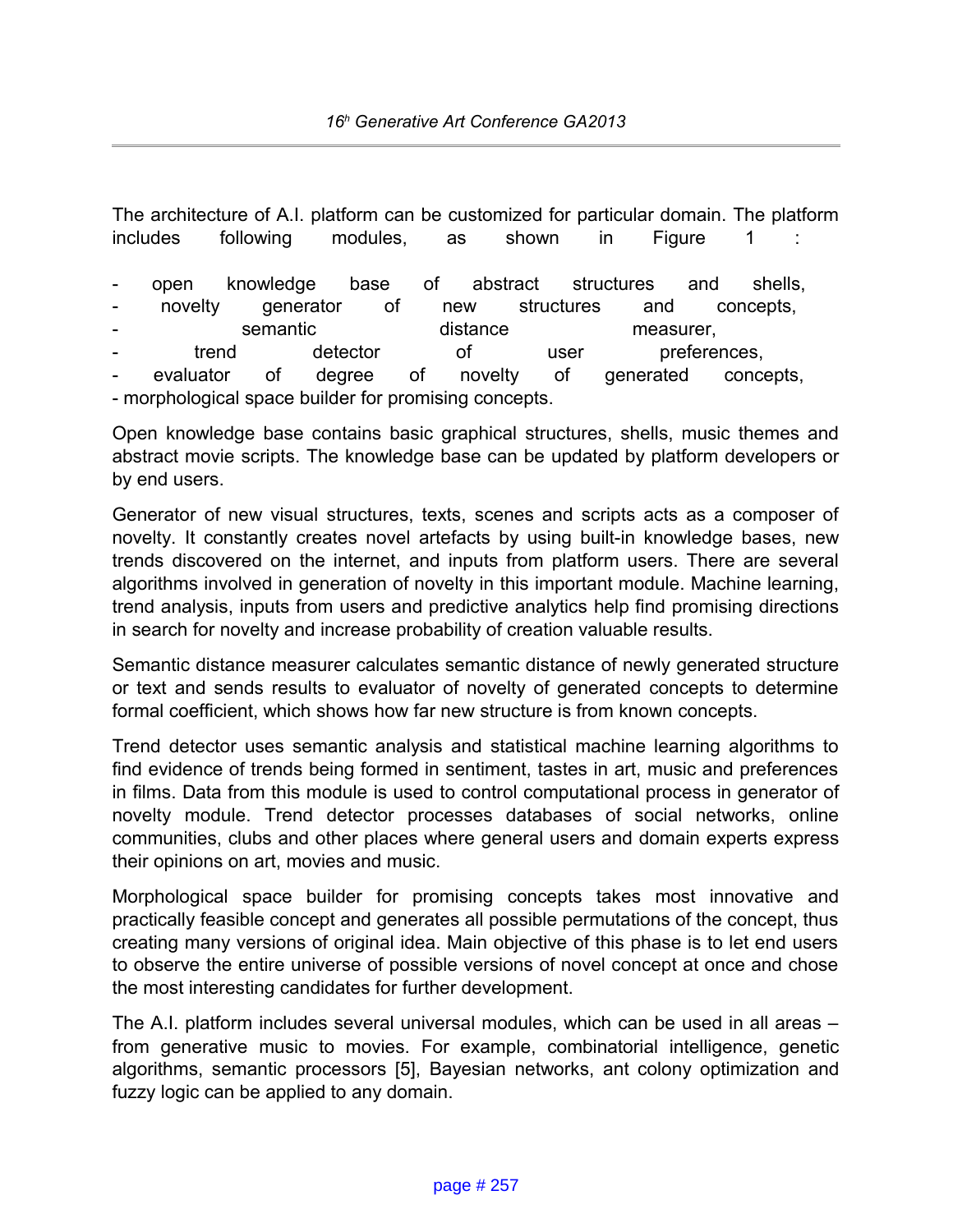The architecture of A.I. platform can be customized for particular domain. The platform includes following modules, as shown in Figure 1 : - open knowledge base of abstract structures and shells, novelty generator of new structures and concepts, semantic distance measurer, trend detector of user preferences, evaluator of degree of novelty of generated concepts, - morphological space builder for promising concepts.

Open knowledge base contains basic graphical structures, shells, music themes and abstract movie scripts. The knowledge base can be updated by platform developers or by end users.

Generator of new visual structures, texts, scenes and scripts acts as a composer of novelty. It constantly creates novel artefacts by using built-in knowledge bases, new trends discovered on the internet, and inputs from platform users. There are several algorithms involved in generation of novelty in this important module. Machine learning, trend analysis, inputs from users and predictive analytics help find promising directions in search for novelty and increase probability of creation valuable results.

Semantic distance measurer calculates semantic distance of newly generated structure or text and sends results to evaluator of novelty of generated concepts to determine formal coefficient, which shows how far new structure is from known concepts.

Trend detector uses semantic analysis and statistical machine learning algorithms to find evidence of trends being formed in sentiment, tastes in art, music and preferences in films. Data from this module is used to control computational process in generator of novelty module. Trend detector processes databases of social networks, online communities, clubs and other places where general users and domain experts express their opinions on art, movies and music.

Morphological space builder for promising concepts takes most innovative and practically feasible concept and generates all possible permutations of the concept, thus creating many versions of original idea. Main objective of this phase is to let end users to observe the entire universe of possible versions of novel concept at once and chose the most interesting candidates for further development.

The A.I. platform includes several universal modules, which can be used in all areas – from generative music to movies. For example, combinatorial intelligence, genetic algorithms, semantic processors [5], Bayesian networks, ant colony optimization and fuzzy logic can be applied to any domain.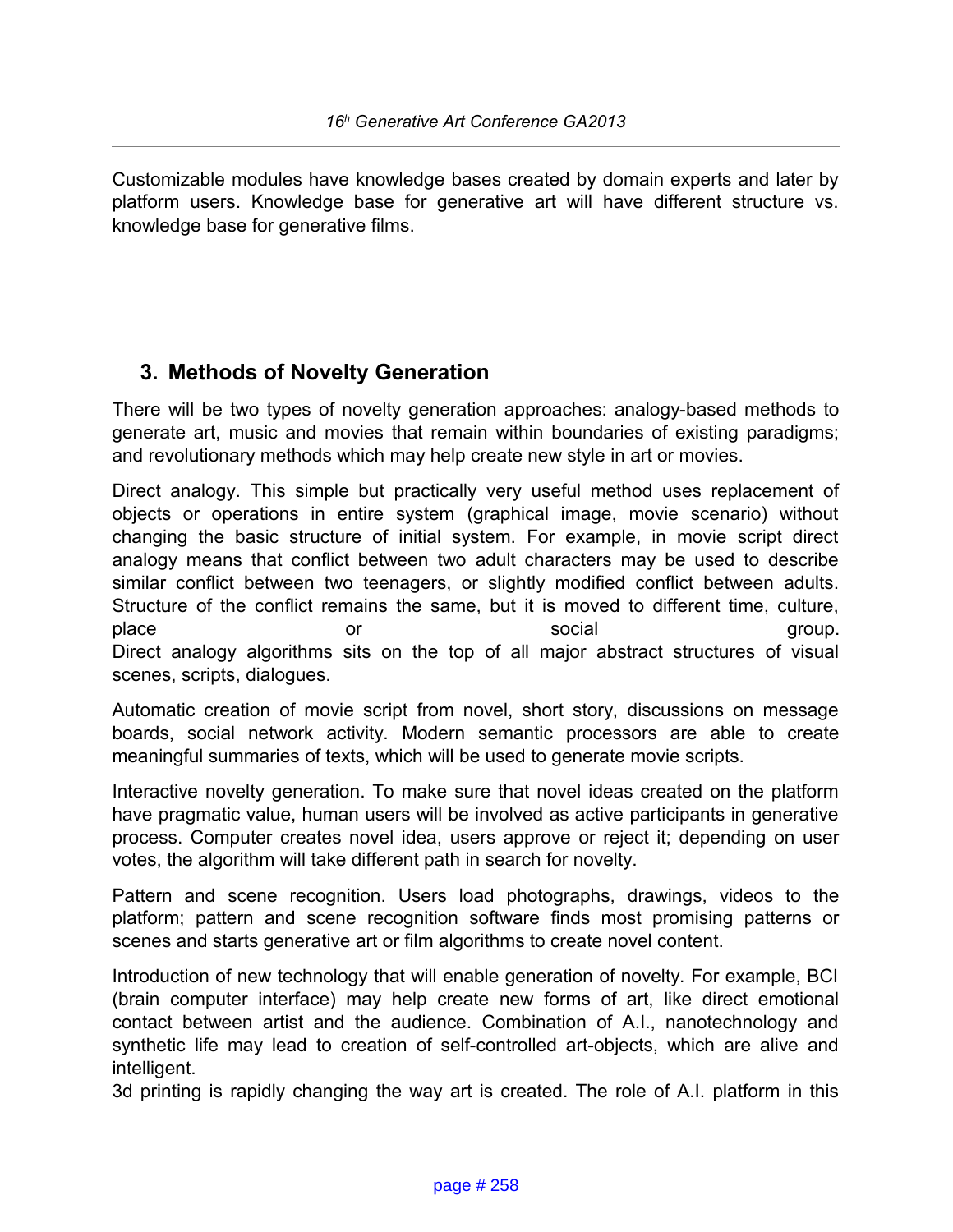Customizable modules have knowledge bases created by domain experts and later by platform users. Knowledge base for generative art will have different structure vs. knowledge base for generative films.

## **3. Methods of Novelty Generation**

There will be two types of novelty generation approaches: analogy-based methods to generate art, music and movies that remain within boundaries of existing paradigms; and revolutionary methods which may help create new style in art or movies.

Direct analogy. This simple but practically very useful method uses replacement of objects or operations in entire system (graphical image, movie scenario) without changing the basic structure of initial system. For example, in movie script direct analogy means that conflict between two adult characters may be used to describe similar conflict between two teenagers, or slightly modified conflict between adults. Structure of the conflict remains the same, but it is moved to different time, culture, place or or social group. Direct analogy algorithms sits on the top of all major abstract structures of visual scenes, scripts, dialogues.

Automatic creation of movie script from novel, short story, discussions on message boards, social network activity. Modern semantic processors are able to create meaningful summaries of texts, which will be used to generate movie scripts.

Interactive novelty generation. To make sure that novel ideas created on the platform have pragmatic value, human users will be involved as active participants in generative process. Computer creates novel idea, users approve or reject it; depending on user votes, the algorithm will take different path in search for novelty.

Pattern and scene recognition. Users load photographs, drawings, videos to the platform; pattern and scene recognition software finds most promising patterns or scenes and starts generative art or film algorithms to create novel content.

Introduction of new technology that will enable generation of novelty. For example, BCI (brain computer interface) may help create new forms of art, like direct emotional contact between artist and the audience. Combination of A.I., nanotechnology and synthetic life may lead to creation of self-controlled art-objects, which are alive and intelligent.

3d printing is rapidly changing the way art is created. The role of A.I. platform in this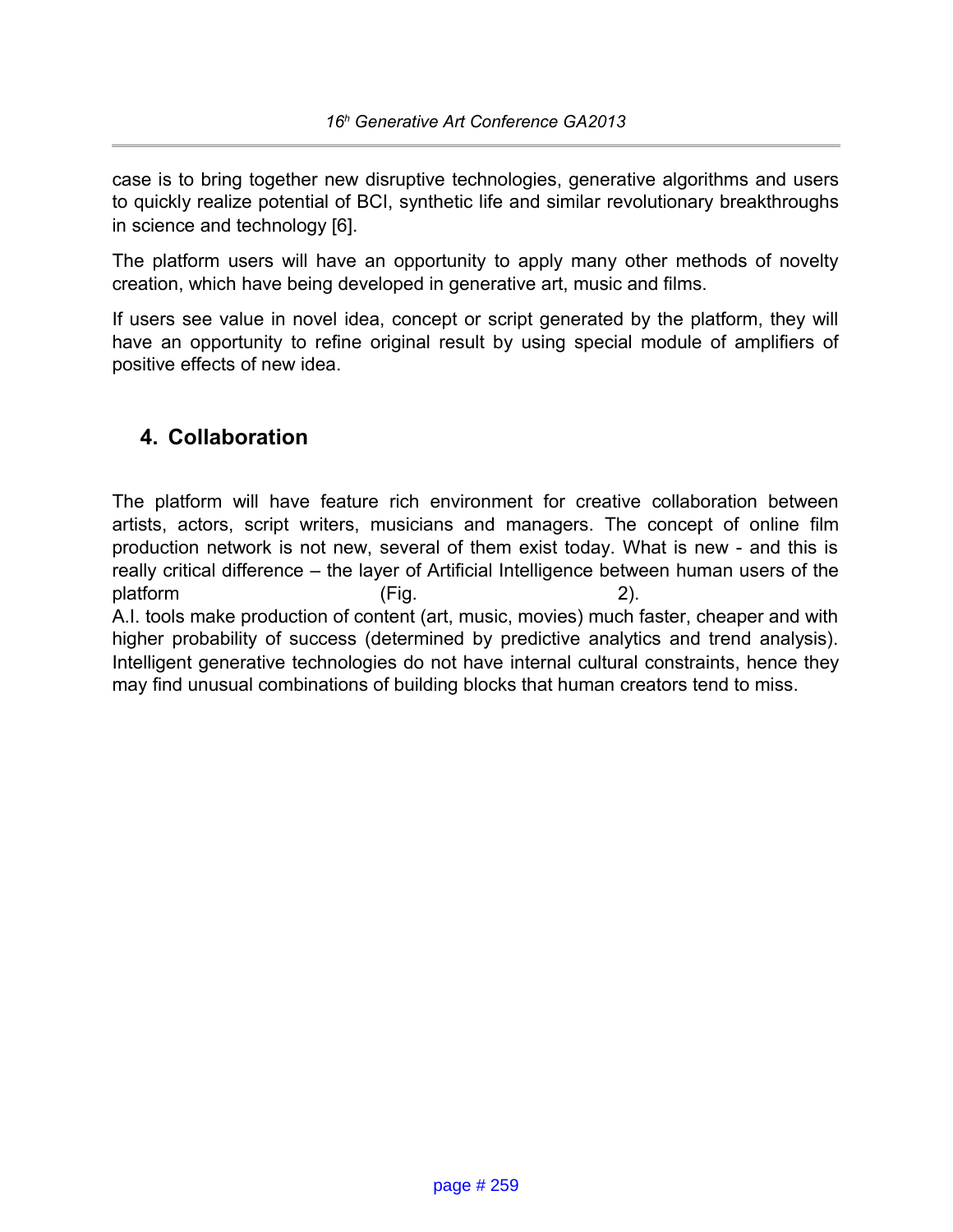case is to bring together new disruptive technologies, generative algorithms and users to quickly realize potential of BCI, synthetic life and similar revolutionary breakthroughs in science and technology [6].

The platform users will have an opportunity to apply many other methods of novelty creation, which have being developed in generative art, music and films.

If users see value in novel idea, concept or script generated by the platform, they will have an opportunity to refine original result by using special module of amplifiers of positive effects of new idea.

## **4. Collaboration**

The platform will have feature rich environment for creative collaboration between artists, actors, script writers, musicians and managers. The concept of online film production network is not new, several of them exist today. What is new - and this is really critical difference – the layer of Artificial Intelligence between human users of the platform (Fig. 2). A.I. tools make production of content (art, music, movies) much faster, cheaper and with higher probability of success (determined by predictive analytics and trend analysis).

Intelligent generative technologies do not have internal cultural constraints, hence they may find unusual combinations of building blocks that human creators tend to miss.